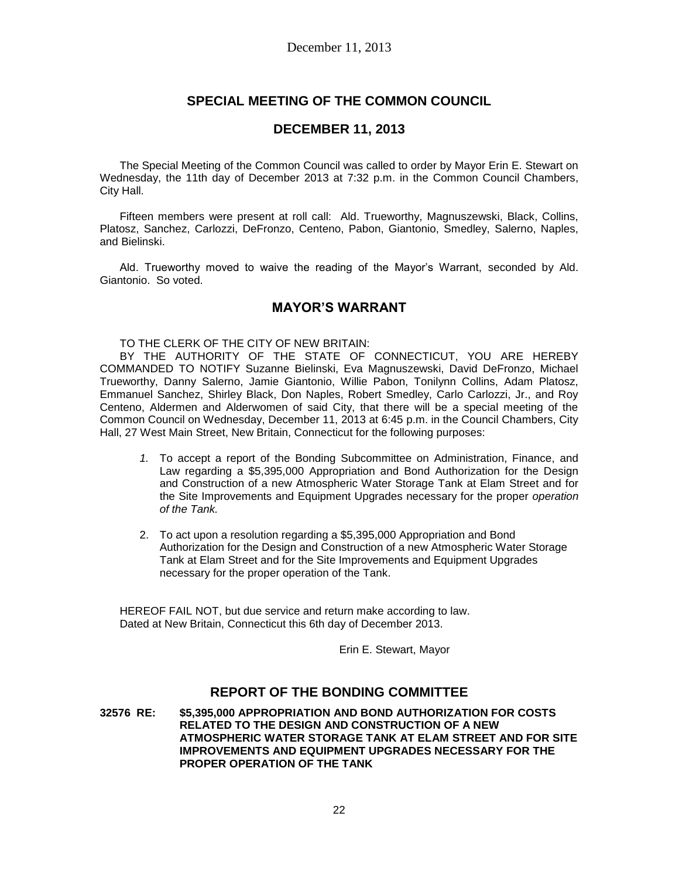# **SPECIAL MEETING OF THE COMMON COUNCIL**

### **DECEMBER 11, 2013**

The Special Meeting of the Common Council was called to order by Mayor Erin E. Stewart on Wednesday, the 11th day of December 2013 at 7:32 p.m. in the Common Council Chambers, City Hall.

Fifteen members were present at roll call: Ald. Trueworthy, Magnuszewski, Black, Collins, Platosz, Sanchez, Carlozzi, DeFronzo, Centeno, Pabon, Giantonio, Smedley, Salerno, Naples, and Bielinski.

Ald. Trueworthy moved to waive the reading of the Mayor's Warrant, seconded by Ald. Giantonio. So voted.

## **MAYOR'S WARRANT**

TO THE CLERK OF THE CITY OF NEW BRITAIN:

BY THE AUTHORITY OF THE STATE OF CONNECTICUT, YOU ARE HEREBY COMMANDED TO NOTIFY Suzanne Bielinski, Eva Magnuszewski, David DeFronzo, Michael Trueworthy, Danny Salerno, Jamie Giantonio, Willie Pabon, Tonilynn Collins, Adam Platosz, Emmanuel Sanchez, Shirley Black, Don Naples, Robert Smedley, Carlo Carlozzi, Jr., and Roy Centeno, Aldermen and Alderwomen of said City, that there will be a special meeting of the Common Council on Wednesday, December 11, 2013 at 6:45 p.m. in the Council Chambers, City Hall, 27 West Main Street, New Britain, Connecticut for the following purposes:

- *1.* To accept a report of the Bonding Subcommittee on Administration, Finance, and Law regarding a \$5,395,000 Appropriation and Bond Authorization for the Design and Construction of a new Atmospheric Water Storage Tank at Elam Street and for the Site Improvements and Equipment Upgrades necessary for the proper *operation of the Tank.*
- 2. To act upon a resolution regarding a \$5,395,000 Appropriation and Bond Authorization for the Design and Construction of a new Atmospheric Water Storage Tank at Elam Street and for the Site Improvements and Equipment Upgrades necessary for the proper operation of the Tank.

HEREOF FAIL NOT, but due service and return make according to law. Dated at New Britain, Connecticut this 6th day of December 2013.

Erin E. Stewart, Mayor

### **REPORT OF THE BONDING COMMITTEE**

**32576 RE: \$5,395,000 APPROPRIATION AND BOND AUTHORIZATION FOR COSTS RELATED TO THE DESIGN AND CONSTRUCTION OF A NEW ATMOSPHERIC WATER STORAGE TANK AT ELAM STREET AND FOR SITE IMPROVEMENTS AND EQUIPMENT UPGRADES NECESSARY FOR THE PROPER OPERATION OF THE TANK**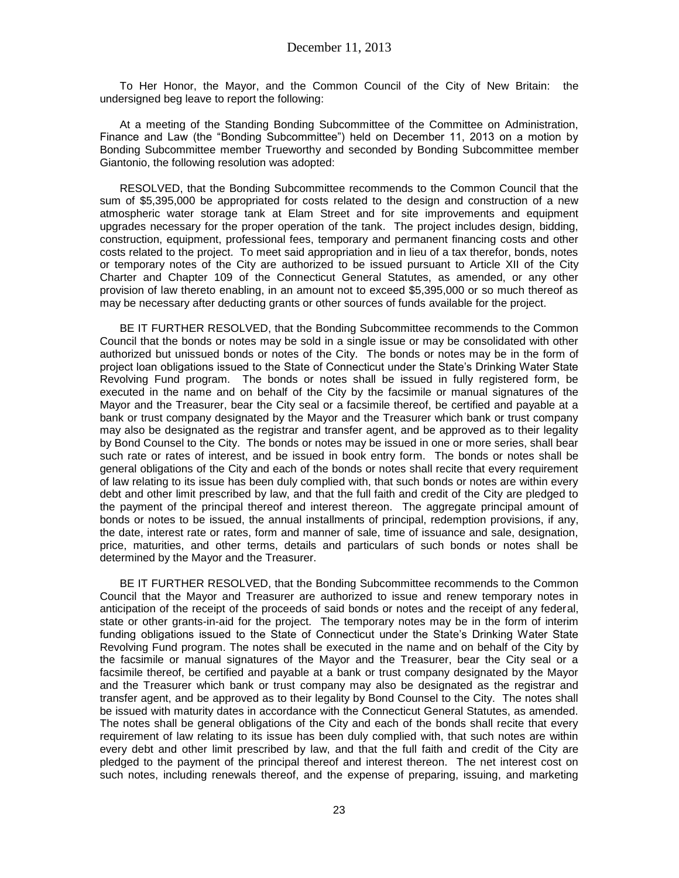To Her Honor, the Mayor, and the Common Council of the City of New Britain: the undersigned beg leave to report the following:

At a meeting of the Standing Bonding Subcommittee of the Committee on Administration, Finance and Law (the "Bonding Subcommittee") held on December 11, 2013 on a motion by Bonding Subcommittee member Trueworthy and seconded by Bonding Subcommittee member Giantonio, the following resolution was adopted:

RESOLVED, that the Bonding Subcommittee recommends to the Common Council that the sum of \$5,395,000 be appropriated for costs related to the design and construction of a new atmospheric water storage tank at Elam Street and for site improvements and equipment upgrades necessary for the proper operation of the tank. The project includes design, bidding, construction, equipment, professional fees, temporary and permanent financing costs and other costs related to the project. To meet said appropriation and in lieu of a tax therefor, bonds, notes or temporary notes of the City are authorized to be issued pursuant to Article XII of the City Charter and Chapter 109 of the Connecticut General Statutes, as amended, or any other provision of law thereto enabling, in an amount not to exceed \$5,395,000 or so much thereof as may be necessary after deducting grants or other sources of funds available for the project.

BE IT FURTHER RESOLVED, that the Bonding Subcommittee recommends to the Common Council that the bonds or notes may be sold in a single issue or may be consolidated with other authorized but unissued bonds or notes of the City. The bonds or notes may be in the form of project loan obligations issued to the State of Connecticut under the State's Drinking Water State Revolving Fund program. The bonds or notes shall be issued in fully registered form, be executed in the name and on behalf of the City by the facsimile or manual signatures of the Mayor and the Treasurer, bear the City seal or a facsimile thereof, be certified and payable at a bank or trust company designated by the Mayor and the Treasurer which bank or trust company may also be designated as the registrar and transfer agent, and be approved as to their legality by Bond Counsel to the City. The bonds or notes may be issued in one or more series, shall bear such rate or rates of interest, and be issued in book entry form. The bonds or notes shall be general obligations of the City and each of the bonds or notes shall recite that every requirement of law relating to its issue has been duly complied with, that such bonds or notes are within every debt and other limit prescribed by law, and that the full faith and credit of the City are pledged to the payment of the principal thereof and interest thereon. The aggregate principal amount of bonds or notes to be issued, the annual installments of principal, redemption provisions, if any, the date, interest rate or rates, form and manner of sale, time of issuance and sale, designation, price, maturities, and other terms, details and particulars of such bonds or notes shall be determined by the Mayor and the Treasurer.

BE IT FURTHER RESOLVED, that the Bonding Subcommittee recommends to the Common Council that the Mayor and Treasurer are authorized to issue and renew temporary notes in anticipation of the receipt of the proceeds of said bonds or notes and the receipt of any federal, state or other grants-in-aid for the project. The temporary notes may be in the form of interim funding obligations issued to the State of Connecticut under the State's Drinking Water State Revolving Fund program. The notes shall be executed in the name and on behalf of the City by the facsimile or manual signatures of the Mayor and the Treasurer, bear the City seal or a facsimile thereof, be certified and payable at a bank or trust company designated by the Mayor and the Treasurer which bank or trust company may also be designated as the registrar and transfer agent, and be approved as to their legality by Bond Counsel to the City. The notes shall be issued with maturity dates in accordance with the Connecticut General Statutes, as amended. The notes shall be general obligations of the City and each of the bonds shall recite that every requirement of law relating to its issue has been duly complied with, that such notes are within every debt and other limit prescribed by law, and that the full faith and credit of the City are pledged to the payment of the principal thereof and interest thereon. The net interest cost on such notes, including renewals thereof, and the expense of preparing, issuing, and marketing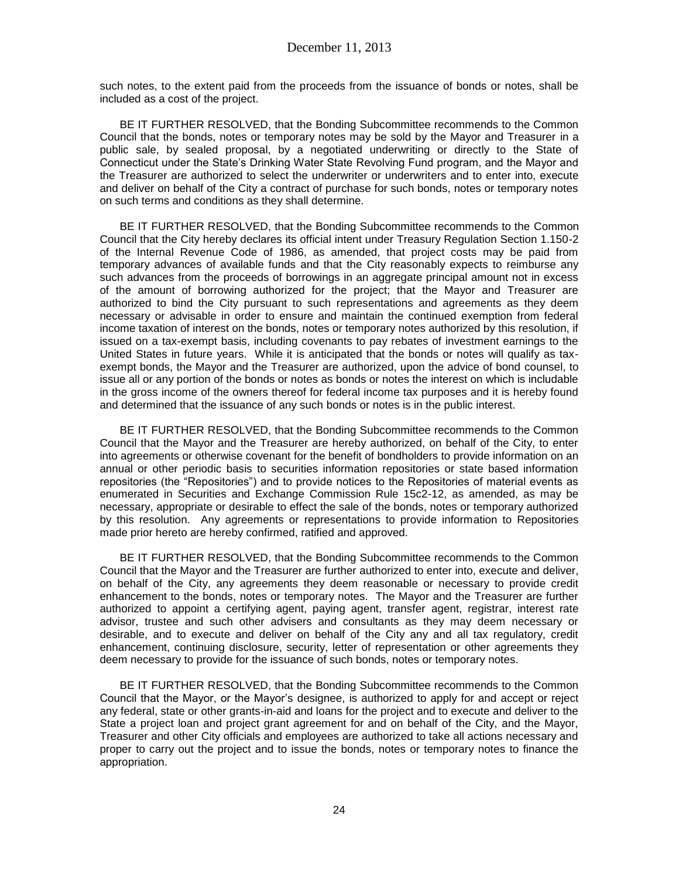such notes, to the extent paid from the proceeds from the issuance of bonds or notes, shall be included as a cost of the project.

BE IT FURTHER RESOLVED, that the Bonding Subcommittee recommends to the Common Council that the bonds, notes or temporary notes may be sold by the Mayor and Treasurer in a public sale, by sealed proposal, by a negotiated underwriting or directly to the State of Connecticut under the State's Drinking Water State Revolving Fund program, and the Mayor and the Treasurer are authorized to select the underwriter or underwriters and to enter into, execute and deliver on behalf of the City a contract of purchase for such bonds, notes or temporary notes on such terms and conditions as they shall determine.

BE IT FURTHER RESOLVED, that the Bonding Subcommittee recommends to the Common Council that the City hereby declares its official intent under Treasury Regulation Section 1.150-2 of the Internal Revenue Code of 1986, as amended, that project costs may be paid from temporary advances of available funds and that the City reasonably expects to reimburse any such advances from the proceeds of borrowings in an aggregate principal amount not in excess of the amount of borrowing authorized for the project; that the Mayor and Treasurer are authorized to bind the City pursuant to such representations and agreements as they deem necessary or advisable in order to ensure and maintain the continued exemption from federal income taxation of interest on the bonds, notes or temporary notes authorized by this resolution, if issued on a tax-exempt basis, including covenants to pay rebates of investment earnings to the United States in future years. While it is anticipated that the bonds or notes will qualify as taxexempt bonds, the Mayor and the Treasurer are authorized, upon the advice of bond counsel, to issue all or any portion of the bonds or notes as bonds or notes the interest on which is includable in the gross income of the owners thereof for federal income tax purposes and it is hereby found and determined that the issuance of any such bonds or notes is in the public interest.

BE IT FURTHER RESOLVED, that the Bonding Subcommittee recommends to the Common Council that the Mayor and the Treasurer are hereby authorized, on behalf of the City, to enter into agreements or otherwise covenant for the benefit of bondholders to provide information on an annual or other periodic basis to securities information repositories or state based information repositories (the "Repositories") and to provide notices to the Repositories of material events as enumerated in Securities and Exchange Commission Rule 15c2-12, as amended, as may be necessary, appropriate or desirable to effect the sale of the bonds, notes or temporary authorized by this resolution. Any agreements or representations to provide information to Repositories made prior hereto are hereby confirmed, ratified and approved.

BE IT FURTHER RESOLVED, that the Bonding Subcommittee recommends to the Common Council that the Mayor and the Treasurer are further authorized to enter into, execute and deliver, on behalf of the City, any agreements they deem reasonable or necessary to provide credit enhancement to the bonds, notes or temporary notes. The Mayor and the Treasurer are further authorized to appoint a certifying agent, paying agent, transfer agent, registrar, interest rate advisor, trustee and such other advisers and consultants as they may deem necessary or desirable, and to execute and deliver on behalf of the City any and all tax regulatory, credit enhancement, continuing disclosure, security, letter of representation or other agreements they deem necessary to provide for the issuance of such bonds, notes or temporary notes.

BE IT FURTHER RESOLVED, that the Bonding Subcommittee recommends to the Common Council that the Mayor, or the Mayor's designee, is authorized to apply for and accept or reject any federal, state or other grants-in-aid and loans for the project and to execute and deliver to the State a project loan and project grant agreement for and on behalf of the City, and the Mayor, Treasurer and other City officials and employees are authorized to take all actions necessary and proper to carry out the project and to issue the bonds, notes or temporary notes to finance the appropriation.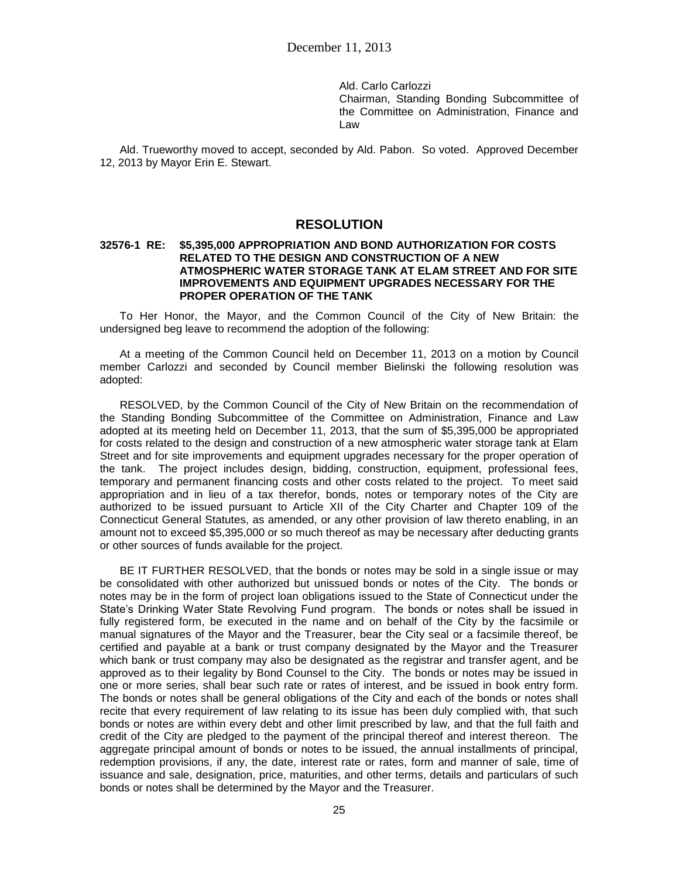Ald. Carlo Carlozzi Chairman, Standing Bonding Subcommittee of the Committee on Administration, Finance and Law

Ald. Trueworthy moved to accept, seconded by Ald. Pabon. So voted. Approved December 12, 2013 by Mayor Erin E. Stewart.

### **RESOLUTION**

#### **32576-1 RE: \$5,395,000 APPROPRIATION AND BOND AUTHORIZATION FOR COSTS RELATED TO THE DESIGN AND CONSTRUCTION OF A NEW ATMOSPHERIC WATER STORAGE TANK AT ELAM STREET AND FOR SITE IMPROVEMENTS AND EQUIPMENT UPGRADES NECESSARY FOR THE PROPER OPERATION OF THE TANK**

To Her Honor, the Mayor, and the Common Council of the City of New Britain: the undersigned beg leave to recommend the adoption of the following:

At a meeting of the Common Council held on December 11, 2013 on a motion by Council member Carlozzi and seconded by Council member Bielinski the following resolution was adopted:

RESOLVED, by the Common Council of the City of New Britain on the recommendation of the Standing Bonding Subcommittee of the Committee on Administration, Finance and Law adopted at its meeting held on December 11, 2013, that the sum of \$5,395,000 be appropriated for costs related to the design and construction of a new atmospheric water storage tank at Elam Street and for site improvements and equipment upgrades necessary for the proper operation of the tank. The project includes design, bidding, construction, equipment, professional fees, temporary and permanent financing costs and other costs related to the project. To meet said appropriation and in lieu of a tax therefor, bonds, notes or temporary notes of the City are authorized to be issued pursuant to Article XII of the City Charter and Chapter 109 of the Connecticut General Statutes, as amended, or any other provision of law thereto enabling, in an amount not to exceed \$5,395,000 or so much thereof as may be necessary after deducting grants or other sources of funds available for the project.

BE IT FURTHER RESOLVED, that the bonds or notes may be sold in a single issue or may be consolidated with other authorized but unissued bonds or notes of the City. The bonds or notes may be in the form of project loan obligations issued to the State of Connecticut under the State's Drinking Water State Revolving Fund program. The bonds or notes shall be issued in fully registered form, be executed in the name and on behalf of the City by the facsimile or manual signatures of the Mayor and the Treasurer, bear the City seal or a facsimile thereof, be certified and payable at a bank or trust company designated by the Mayor and the Treasurer which bank or trust company may also be designated as the registrar and transfer agent, and be approved as to their legality by Bond Counsel to the City. The bonds or notes may be issued in one or more series, shall bear such rate or rates of interest, and be issued in book entry form. The bonds or notes shall be general obligations of the City and each of the bonds or notes shall recite that every requirement of law relating to its issue has been duly complied with, that such bonds or notes are within every debt and other limit prescribed by law, and that the full faith and credit of the City are pledged to the payment of the principal thereof and interest thereon. The aggregate principal amount of bonds or notes to be issued, the annual installments of principal, redemption provisions, if any, the date, interest rate or rates, form and manner of sale, time of issuance and sale, designation, price, maturities, and other terms, details and particulars of such bonds or notes shall be determined by the Mayor and the Treasurer.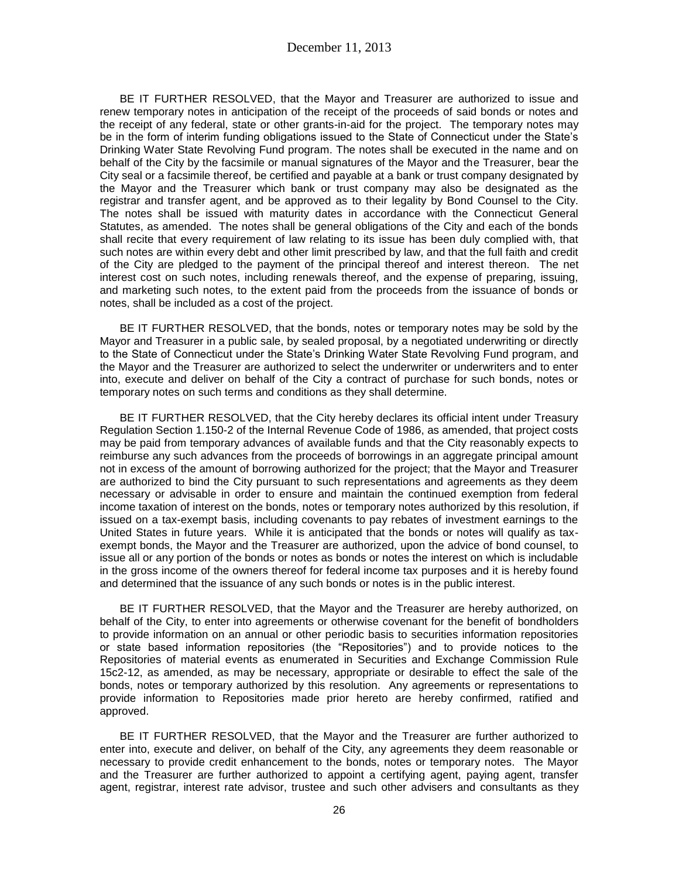BE IT FURTHER RESOLVED, that the Mayor and Treasurer are authorized to issue and renew temporary notes in anticipation of the receipt of the proceeds of said bonds or notes and the receipt of any federal, state or other grants-in-aid for the project. The temporary notes may be in the form of interim funding obligations issued to the State of Connecticut under the State's Drinking Water State Revolving Fund program. The notes shall be executed in the name and on behalf of the City by the facsimile or manual signatures of the Mayor and the Treasurer, bear the City seal or a facsimile thereof, be certified and payable at a bank or trust company designated by the Mayor and the Treasurer which bank or trust company may also be designated as the registrar and transfer agent, and be approved as to their legality by Bond Counsel to the City. The notes shall be issued with maturity dates in accordance with the Connecticut General Statutes, as amended. The notes shall be general obligations of the City and each of the bonds shall recite that every requirement of law relating to its issue has been duly complied with, that such notes are within every debt and other limit prescribed by law, and that the full faith and credit of the City are pledged to the payment of the principal thereof and interest thereon. The net interest cost on such notes, including renewals thereof, and the expense of preparing, issuing, and marketing such notes, to the extent paid from the proceeds from the issuance of bonds or notes, shall be included as a cost of the project.

BE IT FURTHER RESOLVED, that the bonds, notes or temporary notes may be sold by the Mayor and Treasurer in a public sale, by sealed proposal, by a negotiated underwriting or directly to the State of Connecticut under the State's Drinking Water State Revolving Fund program, and the Mayor and the Treasurer are authorized to select the underwriter or underwriters and to enter into, execute and deliver on behalf of the City a contract of purchase for such bonds, notes or temporary notes on such terms and conditions as they shall determine.

BE IT FURTHER RESOLVED, that the City hereby declares its official intent under Treasury Regulation Section 1.150-2 of the Internal Revenue Code of 1986, as amended, that project costs may be paid from temporary advances of available funds and that the City reasonably expects to reimburse any such advances from the proceeds of borrowings in an aggregate principal amount not in excess of the amount of borrowing authorized for the project; that the Mayor and Treasurer are authorized to bind the City pursuant to such representations and agreements as they deem necessary or advisable in order to ensure and maintain the continued exemption from federal income taxation of interest on the bonds, notes or temporary notes authorized by this resolution, if issued on a tax-exempt basis, including covenants to pay rebates of investment earnings to the United States in future years. While it is anticipated that the bonds or notes will qualify as taxexempt bonds, the Mayor and the Treasurer are authorized, upon the advice of bond counsel, to issue all or any portion of the bonds or notes as bonds or notes the interest on which is includable in the gross income of the owners thereof for federal income tax purposes and it is hereby found and determined that the issuance of any such bonds or notes is in the public interest.

BE IT FURTHER RESOLVED, that the Mayor and the Treasurer are hereby authorized, on behalf of the City, to enter into agreements or otherwise covenant for the benefit of bondholders to provide information on an annual or other periodic basis to securities information repositories or state based information repositories (the "Repositories") and to provide notices to the Repositories of material events as enumerated in Securities and Exchange Commission Rule 15c2-12, as amended, as may be necessary, appropriate or desirable to effect the sale of the bonds, notes or temporary authorized by this resolution. Any agreements or representations to provide information to Repositories made prior hereto are hereby confirmed, ratified and approved.

BE IT FURTHER RESOLVED, that the Mayor and the Treasurer are further authorized to enter into, execute and deliver, on behalf of the City, any agreements they deem reasonable or necessary to provide credit enhancement to the bonds, notes or temporary notes. The Mayor and the Treasurer are further authorized to appoint a certifying agent, paying agent, transfer agent, registrar, interest rate advisor, trustee and such other advisers and consultants as they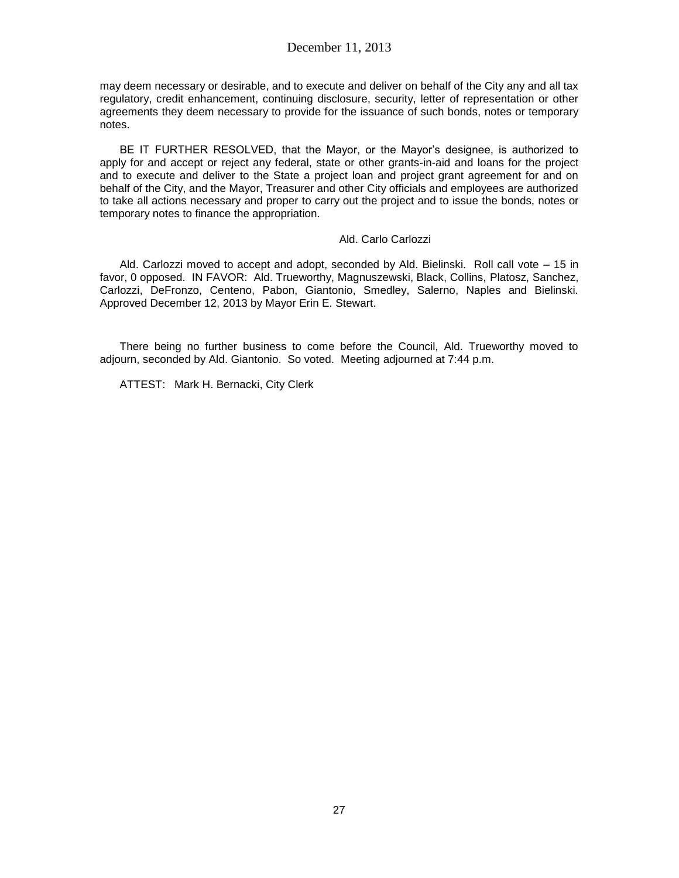#### December 11, 2013

may deem necessary or desirable, and to execute and deliver on behalf of the City any and all tax regulatory, credit enhancement, continuing disclosure, security, letter of representation or other agreements they deem necessary to provide for the issuance of such bonds, notes or temporary notes.

BE IT FURTHER RESOLVED, that the Mayor, or the Mayor's designee, is authorized to apply for and accept or reject any federal, state or other grants-in-aid and loans for the project and to execute and deliver to the State a project loan and project grant agreement for and on behalf of the City, and the Mayor, Treasurer and other City officials and employees are authorized to take all actions necessary and proper to carry out the project and to issue the bonds, notes or temporary notes to finance the appropriation.

#### Ald. Carlo Carlozzi

Ald. Carlozzi moved to accept and adopt, seconded by Ald. Bielinski. Roll call vote – 15 in favor, 0 opposed. IN FAVOR: Ald. Trueworthy, Magnuszewski, Black, Collins, Platosz, Sanchez, Carlozzi, DeFronzo, Centeno, Pabon, Giantonio, Smedley, Salerno, Naples and Bielinski. Approved December 12, 2013 by Mayor Erin E. Stewart.

There being no further business to come before the Council, Ald. Trueworthy moved to adjourn, seconded by Ald. Giantonio. So voted. Meeting adjourned at 7:44 p.m.

ATTEST: Mark H. Bernacki, City Clerk